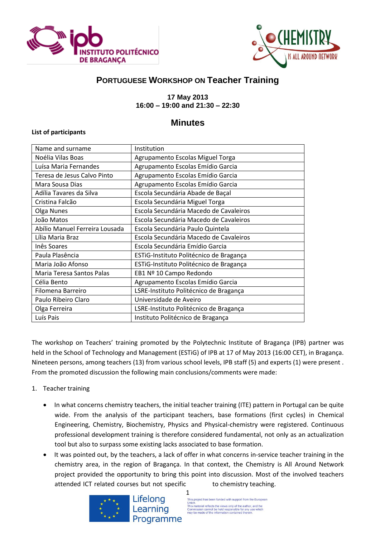



# **PORTUGUESE WORKSHOP ON Teacher Training**

### **17 May 2013 16:00 – 19:00 and 21:30 – 22:30**

## **Minutes**

### **List of participants**

| Name and surname               | Institution                             |
|--------------------------------|-----------------------------------------|
| Noélia Vilas Boas              | Agrupamento Escolas Miguel Torga        |
| Luísa Maria Fernandes          | Agrupamento Escolas Emídio Garcia       |
| Teresa de Jesus Calvo Pinto    | Agrupamento Escolas Emídio Garcia       |
| Mara Sousa Dias                | Agrupamento Escolas Emídio Garcia       |
| Adília Tavares da Silva        | Escola Secundária Abade de Baçal        |
| Cristina Falcão                | Escola Secundária Miguel Torga          |
| Olga Nunes                     | Escola Secundária Macedo de Cavaleiros  |
| João Matos                     | Escola Secundária Macedo de Cavaleiros  |
| Abílio Manuel Ferreira Lousada | Escola Secundária Paulo Quintela        |
| Lília Maria Braz               | Escola Secundária Macedo de Cavaleiros  |
| Inês Soares                    | Escola Secundária Emídio Garcia         |
| Paula Plasência                | ESTIG-Instituto Politécnico de Bragança |
| Maria João Afonso              | ESTIG-Instituto Politécnico de Bragança |
| Maria Teresa Santos Palas      | EB1 Nº 10 Campo Redondo                 |
| Célia Bento                    | Agrupamento Escolas Emídio Garcia       |
| Filomena Barreiro              | LSRE-Instituto Politécnico de Bragança  |
| Paulo Ribeiro Claro            | Universidade de Aveiro                  |
| Olga Ferreira                  | LSRE-Instituto Politécnico de Bragança  |
| Luís Pais                      | Instituto Politécnico de Bragança       |
|                                |                                         |

The workshop on Teachers' training promoted by the Polytechnic Institute of Bragança (IPB) partner was held in the School of Technology and Management (ESTiG) of IPB at 17 of May 2013 (16:00 CET), in Bragança. Nineteen persons, among teachers (13) from various school levels, IPB staff (5) and experts (1) were present . From the promoted discussion the following main conclusions/comments were made:

### 1. Teacher training

- In what concerns chemistry teachers, the initial teacher training (ITE) pattern in Portugal can be quite wide. From the analysis of the participant teachers, base formations (first cycles) in Chemical Engineering, Chemistry, Biochemistry, Physics and Physical-chemistry were registered. Continuous professional development training is therefore considered fundamental, not only as an actualization tool but also to surpass some existing lacks associated to base formation.
- It was pointed out, by the teachers, a lack of offer in what concerns in-service teacher training in the chemistry area, in the region of Bragança. In that context, the Chemistry is All Around Network project provided the opportunity to bring this point into discussion. Most of the involved teachers attended ICT related courses but not specific to chemistry teaching.



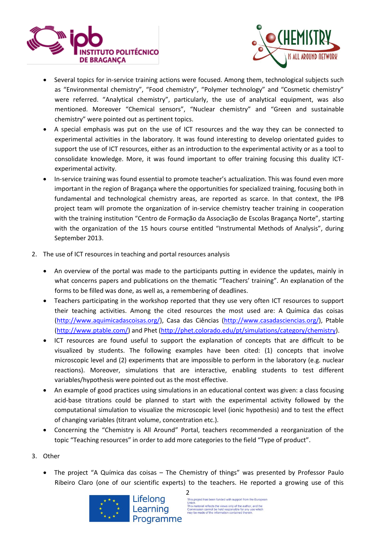



- Several topics for in-service training actions were focused. Among them, technological subjects such as "Environmental chemistry", "Food chemistry", "Polymer technology" and "Cosmetic chemistry" were referred. "Analytical chemistry", particularly, the use of analytical equipment, was also mentioned. Moreover "Chemical sensors", "Nuclear chemistry" and "Green and sustainable chemistry" were pointed out as pertinent topics.
- A special emphasis was put on the use of ICT resources and the way they can be connected to experimental activities in the laboratory. It was found interesting to develop orientated guides to support the use of ICT resources, either as an introduction to the experimental activity or as a tool to consolidate knowledge. More, it was found important to offer training focusing this duality ICTexperimental activity.
- In-service training was found essential to promote teacher's actualization. This was found even more important in the region of Bragança where the opportunities for specialized training, focusing both in fundamental and technological chemistry areas, are reported as scarce. In that context, the IPB project team will promote the organization of in-service chemistry teacher training in cooperation with the training institution "Centro de Formação da Associação de Escolas Bragança Norte", starting with the organization of the 15 hours course entitled "Instrumental Methods of Analysis", during September 2013.
- 2. The use of ICT resources in teaching and portal resources analysis
	- An overview of the portal was made to the participants putting in evidence the updates, mainly in what concerns papers and publications on the thematic "Teachers' training". An explanation of the forms to be filled was done, as well as, a remembering of deadlines.
	- Teachers participating in the workshop reported that they use very often ICT resources to support their teaching activities. Among the cited resources the most used are: A Química das coisas [\(http://www.aquimicadascoisas.org/\)](http://www.aquimicadascoisas.org/), Casa das Ciências [\(http://www.casadasciencias.org/\)](http://www.casadasciencias.org/), Ptable [\(http://www.ptable.com/\)](http://www.ptable.com/) and Phet [\(http://phet.colorado.edu/pt/simulations/category/chemistry\)](http://phet.colorado.edu/pt/simulations/category/chemistry).
	- ICT resources are found useful to support the explanation of concepts that are difficult to be visualized by students. The following examples have been cited: (1) concepts that involve microscopic level and (2) experiments that are impossible to perform in the laboratory (e.g. nuclear reactions). Moreover, simulations that are interactive, enabling students to test different variables/hypothesis were pointed out as the most effective.
	- An example of good practices using simulations in an educational context was given: a class focusing acid-base titrations could be planned to start with the experimental activity followed by the computational simulation to visualize the microscopic level (ionic hypothesis) and to test the effect of changing variables (titrant volume, concentration etc.).
	- Concerning the "Chemistry is All Around" Portal, teachers recommended a reorganization of the topic "Teaching resources" in order to add more categories to the field "Type of product".
- 3. Other
	- The project "A Química das coisas The Chemistry of things" was presented by Professor Paulo Ribeiro Claro (one of our scientific experts) to the teachers. He reported a growing use of this